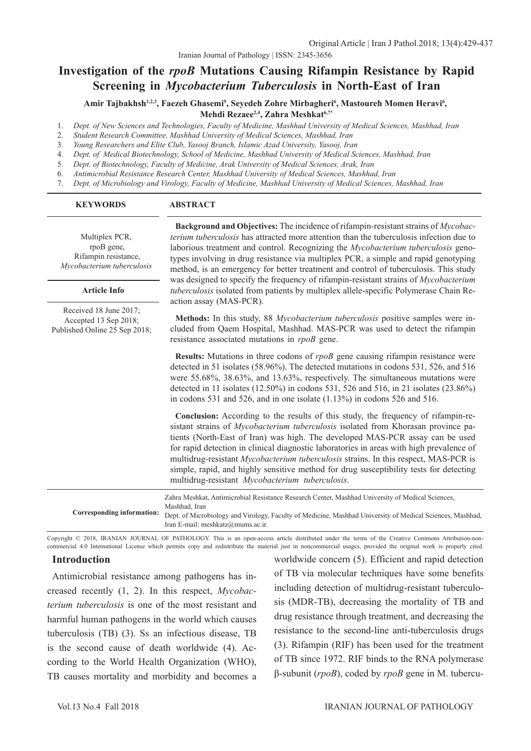# **Investigation of the** *rpoB* **Mutations Causing Rifampin Resistance by Rapid Screening in** *Mycobacterium Tuberculosis* **in North-East of Iran**

Amir Tajbakhsh<sup>1,2,3</sup>, Faezeh Ghasemi<sup>5</sup>, Seyedeh Zohre Mirbagheri<sup>6</sup>, Mastoureh Momen Heravi<sup>6</sup>,  **Mehdi Rezaee2,4, Zahra Meshkat6,7\***

- 1. *Dept. of New Sciences and Technologies, Faculty of Medicine, Mashhad University of Medical Sciences, Mashhad, Iran*
- 2. *Student Research Committee, Mashhad University of Medical Sciences, Mashhad, Iran*
- 3. *Young Researchers and Elite Club, Yasooj Branch, Islamic Azad University, Yasooj, Iran*
- 4. *Dept. of Medical Biotechnology, School of Medicine, Mashhad University of Medical Sciences, Mashhad, Iran*
- 5. *Dept. of Biotechnology, Faculty of Medicine, Arak University of Medical Sciences, Arak, Iran*
- 6. *Antimicrobial Resistance Research Center, Mashhad University of Medical Sciences, Mashhad, Iran*
- 7. *Dept. of Microbiology and Virology, Faculty of Medicine, Mashhad University of Medical Sciences, Mashhad, Iran*

#### **Article Info KEYWORDS ABSTRACT Background and Objectives:** The incidence of rifampin-resistant strains of *Mycobacterium tuberculosis* has attracted more attention than the tuberculosis infection due to laborious treatment and control. Recognizing the *Mycobacterium tuberculosis* genotypes involving in drug resistance via multiplex PCR, a simple and rapid genotyping method, is an emergency for better treatment and control of tuberculosis. This study was designed to specify the frequency of rifampin-resistant strains of *Mycobacterium tuberculosis* isolated from patients by multiplex allele-specific Polymerase Chain Reaction assay (MAS-PCR). **Methods:** In this study, 88 *Mycobacterium tuberculosis* positive samples were included from Qaem Hospital, Mashhad. MAS-PCR was used to detect the rifampin resistance associated mutations in *rpoB* gene. **Results:** Mutations in three codons of *rpoB* gene causing rifampin resistance were detected in 51 isolates (58.96%). The detected mutations in codons 531, 526, and 516 were 55.68%, 38.63%, and 13.63%, respectively. The simultaneous mutations were detected in 11 isolates (12.50%) in codons 531, 526 and 516, in 21 isolates (23.86%) in codons 531 and 526, and in one isolate (1.13%) in codons 526 and 516. **Conclusion:** According to the results of this study, the frequency of rifampin-resistant strains of *Mycobacterium tuberculosis* isolated from Khorasan province patients (North-East of Iran) was high. The developed MAS-PCR assay can be used for rapid detection in clinical diagnostic laboratories in areas with high prevalence of multidrug-resistant *Mycobacterium tuberculosis* strains. In this respect, MAS-PCR is simple, rapid, and highly sensitive method for drug susceptibility tests for detecting multidrug-resistant *Mycobacterium tuberculosis*. Multiplex PCR, rpoB gene, Rifampin resistance, *Mycobacterium tuberculosis* **Corresponding information:** Zahra Meshkat, Antimicrobial Resistance Research Center, Mashhad University of Medical Sciences, Mashhad, Iran Dept. of Microbiology and Virology, Faculty of Medicine, Mashhad University of Medical Sciences, Mashhad, Iran E-mail: meshkatz@mums.ac.ir. Received 18 June 2017; Accepted 13 Sep 2018; Published Online 25 Sep 2018; **Article Info KEYWORDS ABSTRACT**

Copyright © 2018, IRANIAN JOURNAL OF PATHOLOGY. This is an open-access article distributed under the terms of the Creative Commons Attribution-noncommercial 4.0 International License which permits copy and redistribute the material just in noncommercial usages, provided the original work is properly cited.

#### **Introduction**

Antimicrobial resistance among pathogens has increased recently (1, 2). In this respect, *Mycobacterium tuberculosis* is one of the most resistant and harmful human pathogens in the world which causes tuberculosis (TB) (3). Ss an infectious disease, TB is the second cause of death worldwide (4). According to the World Health Organization (WHO), TB causes mortality and morbidity and becomes a

worldwide concern (5). Efficient and rapid detection of TB via molecular techniques have some benefits including detection of multidrug-resistant tuberculosis (MDR-TB), decreasing the mortality of TB and drug resistance through treatment, and decreasing the resistance to the second-line anti-tuberculosis drugs (3). Rifampin (RIF) has been used for the treatment of TB since 1972. RIF binds to the RNA polymerase β-subunit (*rpoB*), coded by *rpoB* gene in M. tubercu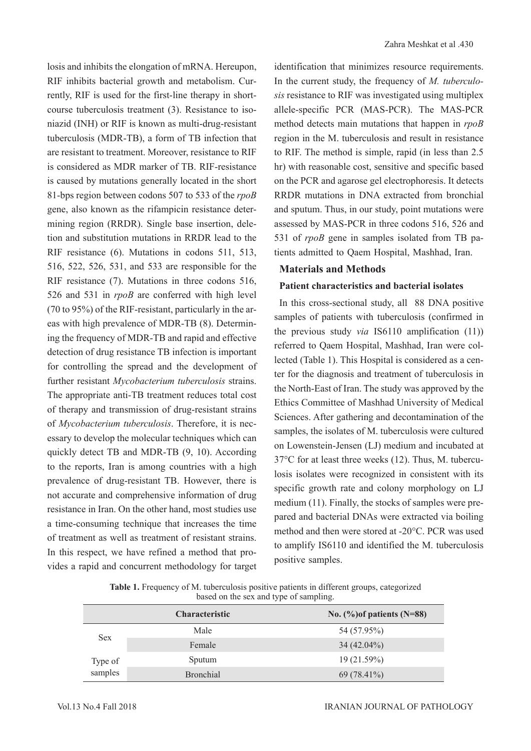losis and inhibits the elongation of mRNA. Hereupon, RIF inhibits bacterial growth and metabolism. Currently, RIF is used for the first-line therapy in shortcourse tuberculosis treatment (3). Resistance to isoniazid (INH) or RIF is known as multi-drug-resistant tuberculosis (MDR-TB), a form of TB infection that are resistant to treatment. Moreover, resistance to RIF is considered as MDR marker of TB. RIF-resistance is caused by mutations generally located in the short 81-bps region between codons 507 to 533 of the *rpoB* gene, also known as the rifampicin resistance determining region (RRDR). Single base insertion, deletion and substitution mutations in RRDR lead to the RIF resistance (6). Mutations in codons 511, 513, 516, 522, 526, 531, and 533 are responsible for the RIF resistance (7). Mutations in three codons 516, 526 and 531 in *rpoB* are conferred with high level (70 to 95%) of the RIF-resistant, particularly in the areas with high prevalence of MDR-TB (8). Determining the frequency of MDR-TB and rapid and effective detection of drug resistance TB infection is important for controlling the spread and the development of further resistant *Mycobacterium tuberculosis* strains. The appropriate anti-TB treatment reduces total cost of therapy and transmission of drug-resistant strains of *Mycobacterium tuberculosis*. Therefore, it is necessary to develop the molecular techniques which can quickly detect TB and MDR-TB (9, 10). According to the reports, Iran is among countries with a high prevalence of drug-resistant TB. However, there is not accurate and comprehensive information of drug resistance in Iran. On the other hand, most studies use a time-consuming technique that increases the time of treatment as well as treatment of resistant strains. In this respect, we have refined a method that provides a rapid and concurrent methodology for target

identification that minimizes resource requirements. In the current study, the frequency of *M. tuberculosis* resistance to RIF was investigated using multiplex allele-specific PCR (MAS-PCR). The MAS-PCR method detects main mutations that happen in *rpoB* region in the M. tuberculosis and result in resistance to RIF. The method is simple, rapid (in less than 2.5 hr) with reasonable cost, sensitive and specific based on the PCR and agarose gel electrophoresis. It detects RRDR mutations in DNA extracted from bronchial and sputum. Thus, in our study, point mutations were assessed by MAS-PCR in three codons 516, 526 and 531 of *rpoB* gene in samples isolated from TB patients admitted to Qaem Hospital, Mashhad, Iran.

## **Materials and Methods**

## **Patient characteristics and bacterial isolates**

In this cross-sectional study, all 88 DNA positive samples of patients with tuberculosis (confirmed in the previous study *via* IS6110 amplification (11)) referred to Qaem Hospital, Mashhad, Iran were collected (Table 1). This Hospital is considered as a center for the diagnosis and treatment of tuberculosis in the North-East of Iran. The study was approved by the Ethics Committee of Mashhad University of Medical Sciences. After gathering and decontamination of the samples, the isolates of M. tuberculosis were cultured on Lowenstein-Jensen (LJ) medium and incubated at 37°C for at least three weeks (12). Thus, M. tuberculosis isolates were recognized in consistent with its specific growth rate and colony morphology on LJ medium (11). Finally, the stocks of samples were prepared and bacterial DNAs were extracted via boiling method and then were stored at -20°C. PCR was used to amplify IS6110 and identified the M. tuberculosis positive samples.

**Table 1.** Frequency of M. tuberculosis positive patients in different groups, categorized based on the sex and type of sampling.

|                    | <b>Characteristic</b> | No. $(\%)$ of patients (N=88) |
|--------------------|-----------------------|-------------------------------|
| <b>Sex</b>         | Male                  | 54 (57.95%)                   |
|                    | Female                | $34(42.04\%)$                 |
| Type of<br>samples | Sputum                | 19(21.59%)                    |
|                    | <b>Bronchial</b>      | 69 (78.41%)                   |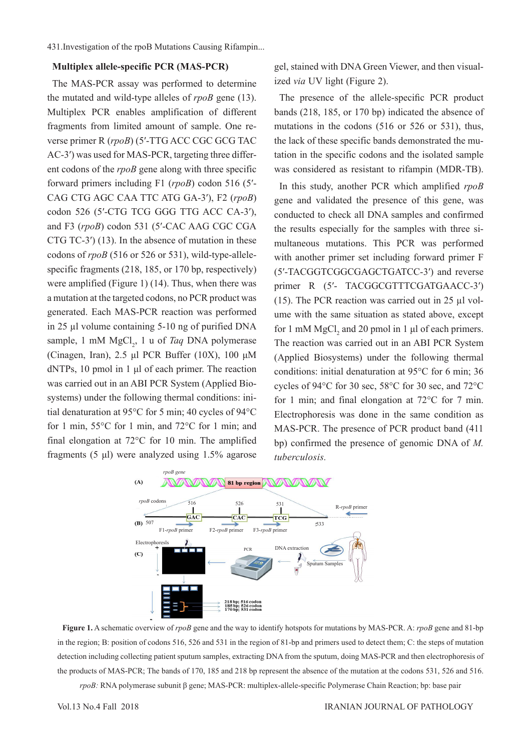#### **Multiplex allele-specific PCR (MAS-PCR)**

The MAS-PCR assay was performed to determine the mutated and wild-type alleles of *rpoB* gene (13). Multiplex PCR enables amplification of different fragments from limited amount of sample. One reverse primer R (*rpoB*) (5′-TTG ACC CGC GCG TAC AC-3<sup>'</sup>) was used for MAS-PCR, targeting three different codons of the *rpoB* gene along with three specific forward primers including F1 (*rpoB*) codon 516 (5′- CAG CTG AGC CAA TTC ATG GA-3ʹ), F2 (*rpoB*) codon 526 (5′-CTG TCG GGG TTG ACC CA-3ʹ), and F3 (*rpoB*) codon 531 (5′-CAC AAG CGC CGA CTG TC-3 $^{\prime}$ ) (13). In the absence of mutation in these codons of *rpoB* (516 or 526 or 531), wild-type-allelespecific fragments (218, 185, or 170 bp, respectively) were amplified (Figure 1) (14). Thus, when there was a mutation at the targeted codons, no PCR product was generated. Each MAS-PCR reaction was performed in 25 µl volume containing 5-10 ng of purified DNA sample, 1 mM MgCl<sub>2</sub>, 1 u of *Taq* DNA polymerase (Cinagen, Iran), 2.5 μl PCR Buffer (10X), 100 μM dNTPs, 10 pmol in 1 μl of each primer. The reaction was carried out in an ABI PCR System (Applied Biosystems) under the following thermal conditions: initial denaturation at 95°C for 5 min; 40 cycles of 94°C for 1 min, 55°C for 1 min, and 72°C for 1 min; and final elongation at 72°C for 10 min. The amplified fragments (5 μl) were analyzed using 1.5% agarose

gel, stained with DNA Green Viewer, and then visualized *via* UV light (Figure 2).

The presence of the allele-specific PCR product bands (218, 185, or 170 bp) indicated the absence of mutations in the codons (516 or 526 or 531), thus, the lack of these specific bands demonstrated the mutation in the specific codons and the isolated sample was considered as resistant to rifampin (MDR-TB).

In this study, another PCR which amplified *rpoB* gene and validated the presence of this gene, was conducted to check all DNA samples and confirmed the results especially for the samples with three simultaneous mutations. This PCR was performed with another primer set including forward primer F (5ʹ-TACGGTCGGCGAGCTGATCC-3ʹ) and reverse primer R (5'- TACGGCGTTTCGATGAACC-3') (15). The PCR reaction was carried out in 25  $\mu$ l volume with the same situation as stated above, except for 1 mM  $MgCl<sub>2</sub>$  and 20 pmol in 1 µl of each primers. The reaction was carried out in an ABI PCR System (Applied Biosystems) under the following thermal conditions: initial denaturation at 95°C for 6 min; 36 cycles of 94°C for 30 sec, 58°C for 30 sec, and 72°C for 1 min; and final elongation at 72°C for 7 min. Electrophoresis was done in the same condition as MAS-PCR. The presence of PCR product band (411 bp) confirmed the presence of genomic DNA of *M. tuberculosis.*



**Figure 1.** A schematic overview of *rpoB* gene and the way to identify hotspots for mutations by MAS-PCR. A: *rpoB* gene and 81-bp in the region; B: position of codons 516, 526 and 531 in the region of 81-bp and primers used to detect them; C: the steps of mutation detection including collecting patient sputum samples, extracting DNA from the sputum, doing MAS-PCR and then electrophoresis of the products of MAS-PCR; The bands of 170, 185 and 218 bp represent the absence of the mutation at the codons 531, 526 and 516.

*rpoB:* RNA polymerase subunit β gene; MAS-PCR: multiplex-allele-specific Polymerase Chain Reaction; bp: base pair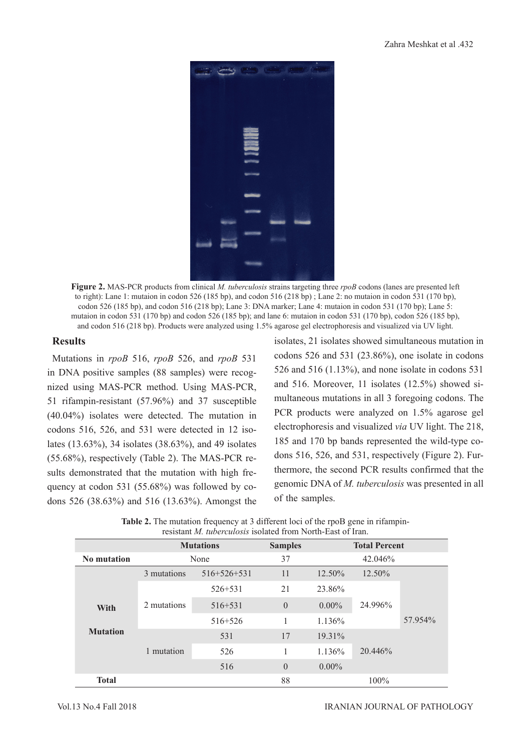

**Figure 2.** MAS-PCR products from clinical *M. tuberculosis* strains targeting three *rpoB* codons (lanes are presented left to right): Lane 1: mutaion in codon 526 (185 bp), and codon 516 (218 bp) ; Lane 2: no mutaion in codon 531 (170 bp), codon 526 (185 bp), and codon 516 (218 bp); Lane 3: DNA marker; Lane 4: mutaion in codon 531 (170 bp); Lane 5: mutaion in codon 531 (170 bp) and codon 526 (185 bp); and lane 6: mutaion in codon 531 (170 bp), codon 526 (185 bp), and codon 516 (218 bp). Products were analyzed using 1.5% agarose gel electrophoresis and visualized via UV light.

## **Results**

Mutations in *rpoB* 516, *rpoB* 526, and *rpoB* 531 in DNA positive samples (88 samples) were recognized using MAS-PCR method. Using MAS-PCR, 51 rifampin-resistant (57.96%) and 37 susceptible (40.04%) isolates were detected. The mutation in codons 516, 526, and 531 were detected in 12 isolates (13.63%), 34 isolates (38.63%), and 49 isolates (55.68%), respectively (Table 2). The MAS-PCR results demonstrated that the mutation with high frequency at codon 531 (55.68%) was followed by codons 526 (38.63%) and 516 (13.63%). Amongst the isolates, 21 isolates showed simultaneous mutation in codons 526 and 531 (23.86%), one isolate in codons 526 and 516 (1.13%), and none isolate in codons 531 and 516. Moreover, 11 isolates (12.5%) showed simultaneous mutations in all 3 foregoing codons. The PCR products were analyzed on 1.5% agarose gel electrophoresis and visualized *via* UV light. The 218, 185 and 170 bp bands represented the wild-type codons 516, 526, and 531, respectively (Figure 2). Furthermore, the second PCR results confirmed that the genomic DNA of *M. tuberculosis* was presented in all of the samples.

| resistant <i>M. tuberculosis</i> isolated from North-East of Iran. |                  |               |                |                      |         |         |  |  |
|--------------------------------------------------------------------|------------------|---------------|----------------|----------------------|---------|---------|--|--|
|                                                                    | <b>Mutations</b> |               | <b>Samples</b> | <b>Total Percent</b> |         |         |  |  |
| No mutation                                                        | None             |               | 37             | 42.046%              |         |         |  |  |
|                                                                    | 3 mutations      | $516+526+531$ | 11             | 12.50%               | 12.50%  |         |  |  |
| <b>With</b><br><b>Mutation</b>                                     | 2 mutations      | $526 + 531$   | 21             | 23.86%               | 24.996% | 57.954% |  |  |
|                                                                    |                  | $516 + 531$   | $\theta$       | $0.00\%$             |         |         |  |  |
|                                                                    |                  | $516 + 526$   |                | 1.136%               |         |         |  |  |
|                                                                    | 1 mutation       | 531           | 17             | 19.31%               | 20.446% |         |  |  |
|                                                                    |                  | 526           |                | 1.136%               |         |         |  |  |
|                                                                    |                  | 516           | $\theta$       | $0.00\%$             |         |         |  |  |
| <b>Total</b>                                                       |                  |               | 88             |                      | $100\%$ |         |  |  |

**Table 2.** The mutation frequency at 3 different loci of the rpoB gene in rifampinresistant *M. tuberculosis* isolated from North-East of Iran.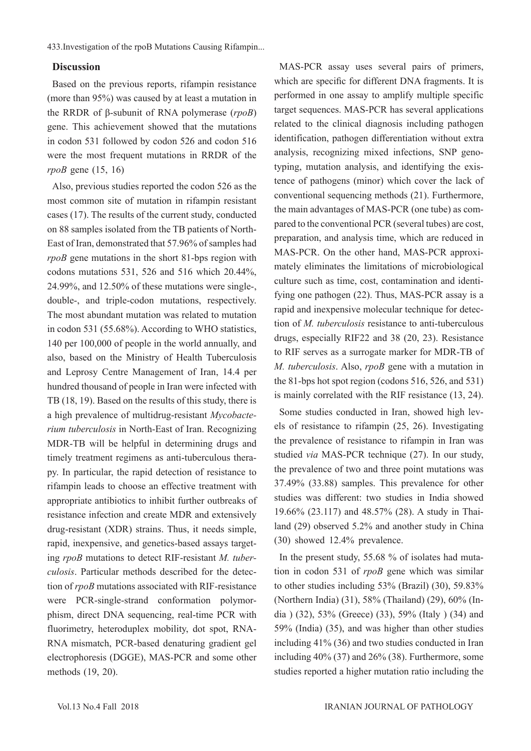#### **Discussion**

Based on the previous reports, rifampin resistance (more than 95%) was caused by at least a mutation in the RRDR of β-subunit of RNA polymerase (*rpoB*) gene. This achievement showed that the mutations in codon 531 followed by codon 526 and codon 516 were the most frequent mutations in RRDR of the *rpoB* gene (15, 16)

Also, previous studies reported the codon 526 as the most common site of mutation in rifampin resistant cases (17). The results of the current study, conducted on 88 samples isolated from the TB patients of North-East of Iran, demonstrated that 57.96% of samples had *rpoB* gene mutations in the short 81-bps region with codons mutations 531, 526 and 516 which 20.44%, 24.99%, and 12.50% of these mutations were single-, double-, and triple-codon mutations, respectively. The most abundant mutation was related to mutation in codon 531 (55.68%). According to WHO statistics, 140 per 100,000 of people in the world annually, and also, based on the Ministry of Health Tuberculosis and Leprosy Centre Management of Iran, 14.4 per hundred thousand of people in Iran were infected with TB (18, 19). Based on the results of this study, there is a high prevalence of multidrug-resistant *Mycobacterium tuberculosis* in North-East of Iran. Recognizing MDR-TB will be helpful in determining drugs and timely treatment regimens as anti-tuberculous therapy. In particular, the rapid detection of resistance to rifampin leads to choose an effective treatment with appropriate antibiotics to inhibit further outbreaks of resistance infection and create MDR and extensively drug-resistant (XDR) strains. Thus, it needs simple, rapid, inexpensive, and genetics-based assays targeting *rpoB* mutations to detect RIF-resistant *M. tuberculosis*. Particular methods described for the detection of *rpoB* mutations associated with RIF-resistance were PCR-single-strand conformation polymorphism, direct DNA sequencing, real-time PCR with fluorimetry, heteroduplex mobility, dot spot, RNA-RNA mismatch, PCR-based denaturing gradient gel electrophoresis (DGGE), MAS-PCR and some other methods (19, 20).

MAS-PCR assay uses several pairs of primers, which are specific for different DNA fragments. It is performed in one assay to amplify multiple specific target sequences. MAS-PCR has several applications related to the clinical diagnosis including pathogen identification, pathogen differentiation without extra analysis, recognizing mixed infections, SNP genotyping, mutation analysis, and identifying the existence of pathogens (minor) which cover the lack of conventional sequencing methods (21). Furthermore, the main advantages of MAS-PCR (one tube) as compared to the conventional PCR (several tubes) are cost, preparation, and analysis time, which are reduced in MAS-PCR. On the other hand, MAS-PCR approximately eliminates the limitations of microbiological culture such as time, cost, contamination and identifying one pathogen (22). Thus, MAS-PCR assay is a rapid and inexpensive molecular technique for detection of *M. tuberculosis* resistance to anti-tuberculous drugs, especially RIF22 and 38 (20, 23). Resistance to RIF serves as a surrogate marker for MDR-TB of *M. tuberculosis*. Also, *rpoB* gene with a mutation in the 81-bps hot spot region (codons 516, 526, and 531) is mainly correlated with the RIF resistance (13, 24).

Some studies conducted in Iran, showed high levels of resistance to rifampin (25, 26). Investigating the prevalence of resistance to rifampin in Iran was studied *via* MAS-PCR technique (27). In our study, the prevalence of two and three point mutations was 37.49% (33.88) samples. This prevalence for other studies was different: two studies in India showed 19.66% (23.117) and 48.57% (28). A study in Thailand (29) observed 5.2% and another study in China (30) showed 12.4% prevalence.

In the present study, 55.68 % of isolates had mutation in codon 531 of *rpoB* gene which was similar to other studies including 53% (Brazil) (30), 59.83% (Northern India) (31), 58% (Thailand) (29), 60% (India ) (32), 53% (Greece) (33), 59% (Italy ) (34) and 59% (India) (35), and was higher than other studies including 41% (36) and two studies conducted in Iran including 40% (37) and 26% (38). Furthermore, some studies reported a higher mutation ratio including the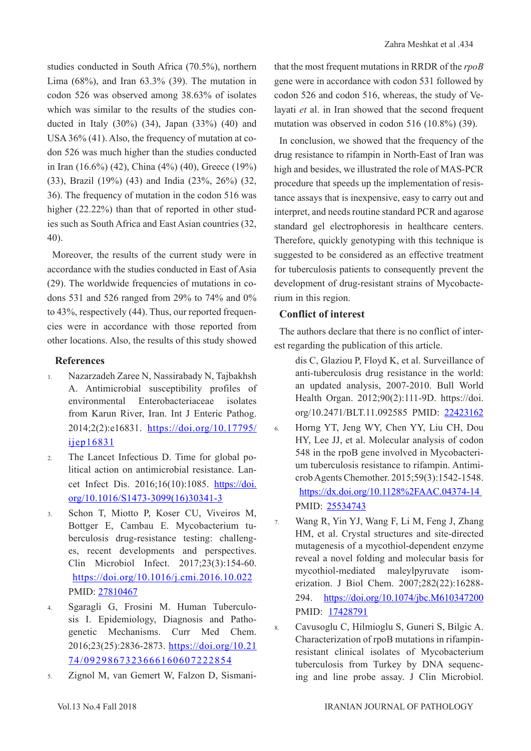studies conducted in South Africa (70.5%), northern Lima (68%), and Iran 63.3% (39). The mutation in codon 526 was observed among 38.63% of isolates which was similar to the results of the studies conducted in Italy (30%) (34), Japan (33%) (40) and USA 36% (41). Also, the frequency of mutation at codon 526 was much higher than the studies conducted in Iran (16.6%) (42), China (4%) (40), Greece (19%) (33), Brazil (19%) (43) and India (23%, 26%) (32, 36). The frequency of mutation in the codon 516 was higher (22.22%) than that of reported in other studies such as South Africa and East Asian countries (32, 40).

Moreover, the results of the current study were in accordance with the studies conducted in East of Asia (29). The worldwide frequencies of mutations in codons 531 and 526 ranged from 29% to 74% and 0% to 43%, respectively (44). Thus, our reported frequencies were in accordance with those reported from other locations. Also, the results of this study showed

## **References**

- 1. Nazarzadeh Zaree N, Nassirabady N, Tajbakhsh A. Antimicrobial susceptibility profiles of environmental Enterobacteriaceae isolates from Karun River, Iran. Int J Enteric Pathog. 2014;2(2):e16831. [https://doi.org/10.17795/](http://enterpathog.abzums.ac.ir/Abstract/16831) [ijep16831](http://enterpathog.abzums.ac.ir/Abstract/16831)
- 2. The Lancet Infectious D. Time for global political action on antimicrobial resistance. Lancet Infect Dis. 2016;16(10):1085. [https://doi.](https://www.thelancet.com/journals/laninf/article/PIIS1473-3099(16)30341-3/fulltext) [org/10.1016/S1473-3099\(16\)30341-3](https://www.thelancet.com/journals/laninf/article/PIIS1473-3099(16)30341-3/fulltext)
- 3. Schon T, Miotto P, Koser CU, Viveiros M, Bottger E, Cambau E. Mycobacterium tuberculosis drug-resistance testing: challenges, recent developments and perspectives. Clin Microbiol Infect. 2017;23(3):154-60. [https://doi.org/10.1016/j.cmi.2016.10.022](https://www.clinicalmicrobiologyandinfection.com/article/S1198-743X(16)30511-0/fulltext) PMID: [27810467](https://www.ncbi.nlm.nih.gov/pubmed/27810467)
- 4. Sgaragli G, Frosini M. Human Tuberculosis I. Epidemiology, Diagnosis and Pathogenetic Mechanisms. Curr Med Chem. 2016;23(25):2836-2873. [https://doi.org/10.21](http://www.eurekaselect.com/143098/article) [74/0929867323666160607222854](http://www.eurekaselect.com/143098/article)
- 5. Zignol M, van Gemert W, Falzon D, Sismani-

that the most frequent mutations in RRDR of the *rpoB* gene were in accordance with codon 531 followed by codon 526 and codon 516, whereas, the study of Velayati *et* al. in Iran showed that the second frequent mutation was observed in codon 516 (10.8%) (39).

In conclusion, we showed that the frequency of the drug resistance to rifampin in North-East of Iran was high and besides, we illustrated the role of MAS-PCR procedure that speeds up the implementation of resistance assays that is inexpensive, easy to carry out and interpret, and needs routine standard PCR and agarose standard gel electrophoresis in healthcare centers. Therefore, quickly genotyping with this technique is suggested to be considered as an effective treatment for tuberculosis patients to consequently prevent the development of drug-resistant strains of Mycobacterium in this region.

## **Conflict of interest**

The authors declare that there is no conflict of interest regarding the publication of this article.

- dis C, Glaziou P, Floyd K, et al. Surveillance of anti-tuberculosis drug resistance in the world: an updated analysis, 2007-2010. Bull World Health Organ. 2012;90(2):111-9D. https://doi. org/10.2471/BLT.11.092585 PMID: [22423162](https://www.ncbi.nlm.nih.gov/pubmed/22423162)
- 6. Horng YT, Jeng WY, Chen YY, Liu CH, Dou HY, Lee JJ, et al. Molecular analysis of codon 548 in the rpoB gene involved in Mycobacterium tuberculosis resistance to rifampin. Antimicrob Agents Chemother. 2015;59(3):1542-1548. [https://dx.doi.org/10.1128%2FAAC.04374-14](https://aac.asm.org/content/59/3/1542)  PMID: [25534743](https://www.ncbi.nlm.nih.gov/pubmed/25534743)
- 7. Wang R, Yin YJ, Wang F, Li M, Feng J, Zhang HM, et al. Crystal structures and site-directed mutagenesis of a mycothiol-dependent enzyme reveal a novel folding and molecular basis for mycothiol-mediated maleylpyruvate isomerization. J Biol Chem. 2007;282(22):16288 294. [https://doi.org/10.1074/jbc.M610347200](http://www.jbc.org/content/282/22/16288) PMID: [17428791](https://www.ncbi.nlm.nih.gov/pubmed/17428791)
- 8. Cavusoglu C, Hilmioglu S, Guneri S, Bilgic A. Characterization of rpoB mutations in rifampinresistant clinical isolates of Mycobacterium tuberculosis from Turkey by DNA sequencing and line probe assay. J Clin Microbiol.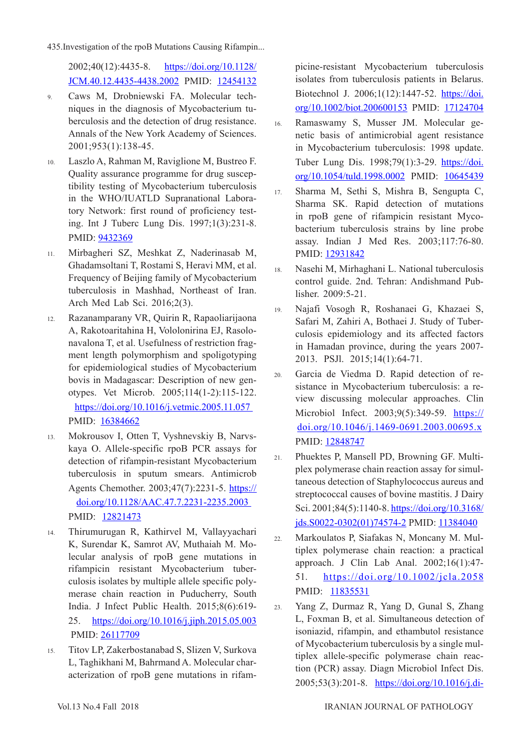2002;40(12):4435-8. [https://doi.org/10.1128/](https://jcm.asm.org/content/40/12/4435) [JCM.40.12.4435-4438.2002](https://jcm.asm.org/content/40/12/4435) PMID: [12454132](https://www.ncbi.nlm.nih.gov/pubmed/12454132)

- 9. Caws M, Drobniewski FA. Molecular techniques in the diagnosis of Mycobacterium tuberculosis and the detection of drug resistance. Annals of the New York Academy of Sciences. 2001;953(1):138-45.
- 10. Laszlo A, Rahman M, Raviglione M, Bustreo F. Quality assurance programme for drug susceptibility testing of Mycobacterium tuberculosis in the WHO/IUATLD Supranational Laboratory Network: first round of proficiency testing. Int J Tuberc Lung Dis. 1997;1(3):231-8. PMID: [9432369](https://www.ncbi.nlm.nih.gov/pubmed/9432369)
- 11. Mirbagheri SZ, Meshkat Z, Naderinasab M, Ghadamsoltani T, Rostami S, Heravi MM, et al. Frequency of Beijing family of Mycobacterium tuberculosis in Mashhad, Northeast of Iran. Arch Med Lab Sci. 2016;2(3).
- 12. Razanamparany VR, Quirin R, Rapaoliarijaona A, Rakotoaritahina H, Vololonirina EJ, Rasolonavalona T, et al. Usefulness of restriction fragment length polymorphism and spoligotyping for epidemiological studies of Mycobacterium bovis in Madagascar: Description of new genotypes. Vet Microb. 2005;114(1-2):115-122. [https://doi.org/10.1016/j.vetmic.2005.11.057](https://www.sciencedirect.com/science/article/pii/S0378113505004438?via%3Dihub)  PMID: [16384662](https://www.ncbi.nlm.nih.gov/pubmed/16384662)
- 13. Mokrousov I, Otten T, Vyshnevskiy B, Narvskaya O. Allele-specific rpoB PCR assays for detection of rifampin-resistant Mycobacterium tuberculosis in sputum smears. Antimicrob Agents Chemother. 2003;47(7):2231-5. [https://](https://aac.asm.org/content/47/7/2231) [doi.org/10.1128/AAC.47.7.2231-2235.2003](https://aac.asm.org/content/47/7/2231)  PMID: [12821473](https://www.ncbi.nlm.nih.gov/pubmed/12821473)
- 14. Thirumurugan R, Kathirvel M, Vallayyachari K, Surendar K, Samrot AV, Muthaiah M. Molecular analysis of rpoB gene mutations in rifampicin resistant Mycobacterium tuberculosis isolates by multiple allele specific polymerase chain reaction in Puducherry, South India. J Infect Public Health. 2015;8(6):619- 25. [https://doi.org/10.1016/j.jiph.2015.05.003](https://www.jiph.org/article/S1876-0341(15)00100-8/fulltext) PMID: [26117709](https://www.ncbi.nlm.nih.gov/pubmed/26117709)
- 15. Titov LP, Zakerbostanabad S, Slizen V, Surkova L, Taghikhani M, Bahrmand A. Molecular characterization of rpoB gene mutations in rifam-

picine-resistant Mycobacterium tuberculosis isolates from tuberculosis patients in Belarus. Biotechnol J. 2006;1(12):1447-52. [https://doi.](https://onlinelibrary.wiley.com/doi/abs/10.1002/biot.200600153) [org/10.1002/biot.200600153](https://onlinelibrary.wiley.com/doi/abs/10.1002/biot.200600153) PMID: [17124704](https://www.ncbi.nlm.nih.gov/pubmed/17124704)

- 16. Ramaswamy S, Musser JM. Molecular genetic basis of antimicrobial agent resistance in Mycobacterium tuberculosis: 1998 update. Tuber Lung Dis. 1998;79(1):3-29. [https://doi.](https://www.sciencedirect.com/science/article/pii/S0962847998900028?via%3Dihub) [org/10.1054/tuld.1998.0002](https://www.sciencedirect.com/science/article/pii/S0962847998900028?via%3Dihub) PMID: [10645439](https://www.ncbi.nlm.nih.gov/pubmed/10645439)
- 17. Sharma M, Sethi S, Mishra B, Sengupta C, Sharma SK. Rapid detection of mutations in rpoB gene of rifampicin resistant Mycobacterium tuberculosis strains by line probe assay. Indian J Med Res. 2003;117:76-80. PMID: [12931842](https://www.ncbi.nlm.nih.gov/pubmed/12931842)
- 18. Nasehi M, Mirhaghani L. National tuberculosis control guide. 2nd. Tehran: Andishmand Publisher. 2009:5-21.
- 19. Najafi Vosogh R, Roshanaei G, Khazaei S, Safari M, Zahiri A, Bothaei J. Study of Tuberculosis epidemiology and its affected factors in Hamadan province, during the years 2007- 2013. PSJl. 2015;14(1):64-71.
- 20. Garcia de Viedma D. Rapid detection of resistance in Mycobacterium tuberculosis: a review discussing molecular approaches. Clin Microbiol Infect. 2003;9(5):349-59. [https://](https://www.clinicalmicrobiologyandinfection.com/article/S1198-743X(14)63128-1/fulltext) [doi.org/10.1046/j.1469-0691.2003.00695.x](https://www.clinicalmicrobiologyandinfection.com/article/S1198-743X(14)63128-1/fulltext) PMID: [12848747](https://www.ncbi.nlm.nih.gov/pubmed/12848747)
- 21. Phuektes P, Mansell PD, Browning GF. Multiplex polymerase chain reaction assay for simultaneous detection of Staphylococcus aureus and streptococcal causes of bovine mastitis. J Dairy Sci. 2001;84(5):1140-8. [https://doi.org/10.3168/](https://www.journalofdairyscience.org/article/S0022-0302(01)74574-2/pdf) [jds.S0022-0302\(01\)74574-2](https://www.journalofdairyscience.org/article/S0022-0302(01)74574-2/pdf) PMID: [11384040](https://www.ncbi.nlm.nih.gov/pubmed/11384040)
- 22. Markoulatos P, Siafakas N, Moncany M. Multiplex polymerase chain reaction: a practical approach. J Clin Lab Anal. 2002;16(1):47- 51. [https://doi.org/10.1002/jcla.2058](https://onlinelibrary.wiley.com/doi/abs/10.1002/jcla.2058) PMID: [11835531](https://www.ncbi.nlm.nih.gov/pubmed/11835531)
- 23. Yang Z, Durmaz R, Yang D, Gunal S, Zhang L, Foxman B, et al. Simultaneous detection of isoniazid, rifampin, and ethambutol resistance of Mycobacterium tuberculosis by a single multiplex allele-specific polymerase chain reaction (PCR) assay. Diagn Microbiol Infect Dis. 2005;53(3):201-8. [https://doi.org/10.1016/j.di-](https://www.sciencedirect.com/science/article/pii/S0732889305001549?via%3Dihub)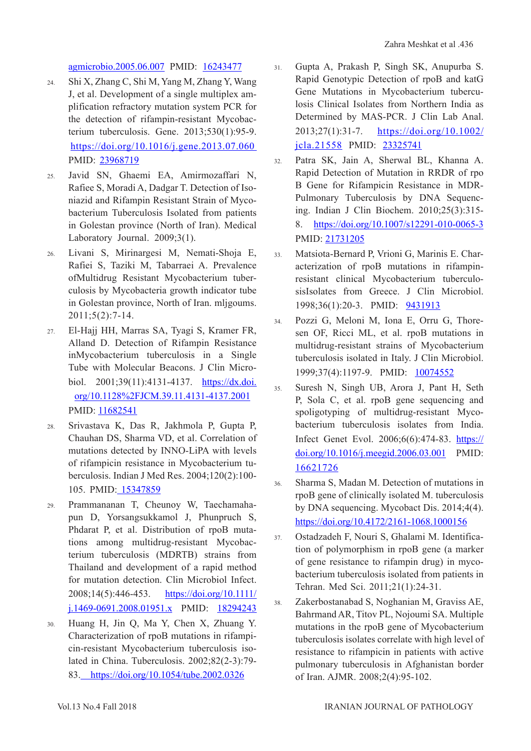[agmicrobio.2005.06.007](https://www.sciencedirect.com/science/article/pii/S0732889305001549?via%3Dihub) PMID: [16243477](https://www.ncbi.nlm.nih.gov/pubmed/16243477)

- 24. Shi X, Zhang C, Shi M, Yang M, Zhang Y, Wang J, et al. Development of a single multiplex amplification refractory mutation system PCR for the detection of rifampin-resistant Mycobacterium tuberculosis. Gene. 2013;530(1):95-9. [https://doi.org/10.1016/j.gene.2013.07.060](https://www.sciencedirect.com/science/article/pii/S0378111913009682?via%3Dihub)  PMID: [23968719](https://www.ncbi.nlm.nih.gov/pubmed/23968719)
- 25. Javid SN, Ghaemi EA, Amirmozaffari N, Rafiee S, Moradi A, Dadgar T. Detection of Isoniazid and Rifampin Resistant Strain of Mycobacterium Tuberculosis Isolated from patients in Golestan province (North of Iran). Medical Laboratory Journal. 2009;3(1).
- 26. Livani S, Mirinargesi M, Nemati-Shoja E, Rafiei S, Taziki M, Tabarraei A. Prevalence ofMultidrug Resistant Mycobacterium tuberculosis by Mycobacteria growth indicator tube in Golestan province, North of Iran. mljgoums. 2011;5(2):7-14.
- 27. El-Hajj HH, Marras SA, Tyagi S, Kramer FR, Alland D. Detection of Rifampin Resistance inMycobacterium tuberculosis in a Single Tube with Molecular Beacons. J Clin Microbiol. 2001;39(11):4131-4137. [https://dx.doi.](https://jcm.asm.org/content/39/11/4131) [org/10.1128%2FJCM.39.11.4131-4137.2001](https://jcm.asm.org/content/39/11/4131) PMID: [11682541](https://www.ncbi.nlm.nih.gov/pubmed/11682541)
- 28. Srivastava K, Das R, Jakhmola P, Gupta P, Chauhan DS, Sharma VD, et al. Correlation of mutations detected by INNO-LiPA with levels of rifampicin resistance in Mycobacterium tuberculosis. Indian J Med Res. 2004;120(2):100- 105. PMID: [15347859](https://www.ncbi.nlm.nih.gov/pubmed/15347859)
- 29. Prammananan T, Cheunoy W, Taechamahapun D, Yorsangsukkamol J, Phunpruch S, Phdarat P, et al. Distribution of rpoB mutations among multidrug‐resistant Mycobacterium tuberculosis (MDRTB) strains from Thailand and development of a rapid method for mutation detection. Clin Microbiol Infect. 2008;14(5):446-453. [https://doi.org/10.1111/](https://www.clinicalmicrobiologyandinfection.com/article/S1198-743X(14)60937-X/fulltext) [j.1469-0691.2008.01951.x](https://www.clinicalmicrobiologyandinfection.com/article/S1198-743X(14)60937-X/fulltext) PMID: [18294243](https://www.ncbi.nlm.nih.gov/pubmed/18294243)
- 30. Huang H, Jin Q, Ma Y, Chen X, Zhuang Y. Characterization of rpoB mutations in rifampicin-resistant Mycobacterium tuberculosis isolated in China. Tuberculosis. 2002;82(2-3):79- 83. [https://doi.org/10.1054/tube.2002.0326](https://www.tuberculosisjournal.com/article/S1472-9792(02)90326-4/pdf)
- 31. Gupta A, Prakash P, Singh SK, Anupurba S. Rapid Genotypic Detection of rpoB and katG Gene Mutations in Mycobacterium tuberculosis Clinical Isolates from Northern India as Determined by MAS‐PCR. J Clin Lab Anal. 2013;27(1):31-7. [https://doi.org/10.1002/](https://onlinelibrary.wiley.com/doi/abs/10.1002/jcla.21558) [jcla.21558](https://onlinelibrary.wiley.com/doi/abs/10.1002/jcla.21558) PMID: [23325741](https://www.ncbi.nlm.nih.gov/pubmed/23325741)
- 32. Patra SK, Jain A, Sherwal BL, Khanna A. Rapid Detection of Mutation in RRDR of rpo B Gene for Rifampicin Resistance in MDR-Pulmonary Tuberculosis by DNA Sequencing. Indian J Clin Biochem. 2010;25(3):315- 8. [https://doi.org/10.1007/s12291-010-0065-3](https://link.springer.com/article/10.1007%2Fs12291-010-0065-3) PMID: [21731205](https://www.ncbi.nlm.nih.gov/pubmed/21731205)
- 33. Matsiota-Bernard P, Vrioni G, Marinis E. Characterization of rpoB mutations in rifampinresistant clinical Mycobacterium tuberculosisIsolates from Greece. J Clin Microbiol. 1998;36(1):20-3. PMID: [9431913](https://www.ncbi.nlm.nih.gov/pubmed/9431913)
- 34. Pozzi G, Meloni M, Iona E, Orru G, Thoresen OF, Ricci ML, et al. rpoB mutations in multidrug-resistant strains of Mycobacterium tuberculosis isolated in Italy. J Clin Microbiol. 1999;37(4):1197-9. PMID: [10074552](https://www.ncbi.nlm.nih.gov/pubmed/10074552)
- 35. Suresh N, Singh UB, Arora J, Pant H, Seth P, Sola C, et al. rpoB gene sequencing and spoligotyping of multidrug-resistant Mycobacterium tuberculosis isolates from India. Infect Genet Evol. 2006;6(6):474-83. [https://](https://www.sciencedirect.com/science/article/pii/S1567134806000359?via%3Dihub) [doi.org/10.1016/j.meegid.2006.03.001](https://www.sciencedirect.com/science/article/pii/S1567134806000359?via%3Dihub) PMID: [16621726](https://www.ncbi.nlm.nih.gov/pubmed/16621726)
- 36. Sharma S, Madan M. Detection of mutations in rpoB gene of clinically isolated M. tuberculosis by DNA sequencing. Mycobact Dis. 2014;4(4). [https://doi.org/10.4172/2161-1068.1000156](https://www.omicsonline.org/open-access/detection-of-mutations-in-rpob-gene-of-clinically-isolated-m-tuberculosis-by-dna-sequencing-2161-1068.1000156.php?aid=26227)
- 37. Ostadzadeh F, Nouri S, Ghalami M. Identification of polymorphism in rpoB gene (a marker of gene resistance to rifampin drug) in mycobacterium tuberculosis isolated from patients in Tehran. Med Sci. 2011;21(1):24-31.
- 38. Zakerbostanabad S, Noghanian M, Graviss AE, Bahrmand AR, Titov PL, Nojoumi SA. Multiple mutations in the rpoB gene of Mycobacterium tuberculosis isolates correlate with high level of resistance to rifampicin in patients with active pulmonary tuberculosis in Afghanistan border of Iran. AJMR. 2008;2(4):95-102.